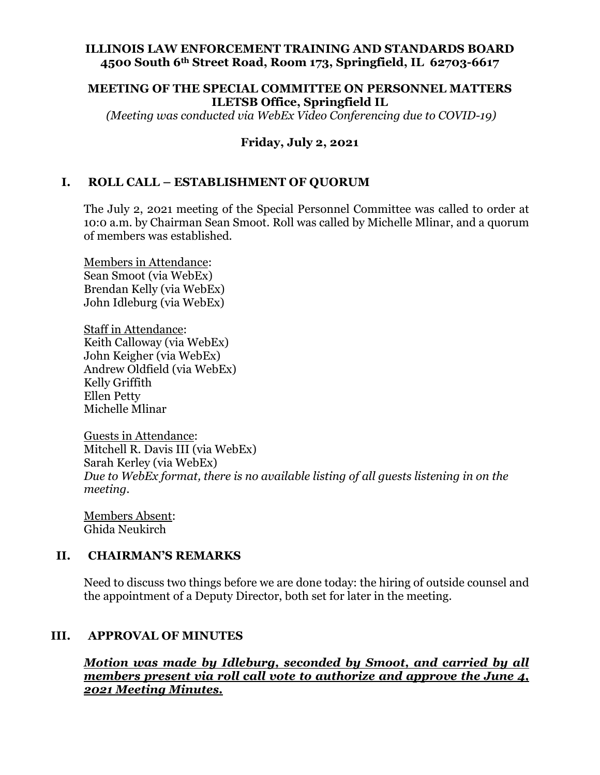### **ILLINOIS LAW ENFORCEMENT TRAINING AND STANDARDS BOARD 4500 South 6th Street Road, Room 173, Springfield, IL 62703-6617**

### **MEETING OF THE SPECIAL COMMITTEE ON PERSONNEL MATTERS ILETSB Office, Springfield IL**

*(Meeting was conducted via WebEx Video Conferencing due to COVID-19)*

# **Friday, July 2, 2021**

# **I. ROLL CALL – ESTABLISHMENT OF QUORUM**

The July 2, 2021 meeting of the Special Personnel Committee was called to order at 10:0 a.m. by Chairman Sean Smoot. Roll was called by Michelle Mlinar, and a quorum of members was established.

Members in Attendance: Sean Smoot (via WebEx) Brendan Kelly (via WebEx) John Idleburg (via WebEx)

Staff in Attendance: Keith Calloway (via WebEx) John Keigher (via WebEx) Andrew Oldfield (via WebEx) Kelly Griffith Ellen Petty Michelle Mlinar

Guests in Attendance: Mitchell R. Davis III (via WebEx) Sarah Kerley (via WebEx) *Due to WebEx format, there is no available listing of all guests listening in on the meeting.*

Members Absent: Ghida Neukirch

#### **II. CHAIRMAN'S REMARKS**

Need to discuss two things before we are done today: the hiring of outside counsel and the appointment of a Deputy Director, both set for later in the meeting.

## **III. APPROVAL OF MINUTES**

*Motion was made by Idleburg, seconded by Smoot, and carried by all members present via roll call vote to authorize and approve the June 4, 2021 Meeting Minutes.*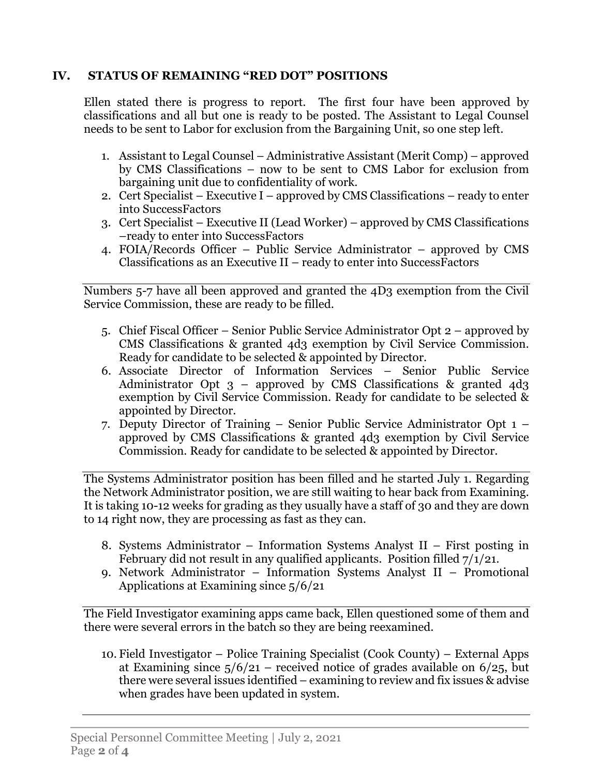# **IV. STATUS OF REMAINING "RED DOT" POSITIONS**

Ellen stated there is progress to report. The first four have been approved by classifications and all but one is ready to be posted. The Assistant to Legal Counsel needs to be sent to Labor for exclusion from the Bargaining Unit, so one step left.

- 1. Assistant to Legal Counsel Administrative Assistant (Merit Comp) approved by CMS Classifications – now to be sent to CMS Labor for exclusion from bargaining unit due to confidentiality of work.
- 2. Cert Specialist Executive I approved by CMS Classifications ready to enter into SuccessFactors
- 3. Cert Specialist Executive II (Lead Worker) approved by CMS Classifications –ready to enter into SuccessFactors
- 4. FOIA/Records Officer Public Service Administrator approved by CMS Classifications as an Executive II – ready to enter into SuccessFactors

Numbers 5-7 have all been approved and granted the 4D3 exemption from the Civil Service Commission, these are ready to be filled.

- 5. Chief Fiscal Officer Senior Public Service Administrator Opt 2 approved by CMS Classifications & granted 4d3 exemption by Civil Service Commission. Ready for candidate to be selected & appointed by Director.
- 6. Associate Director of Information Services Senior Public Service Administrator Opt  $3$  – approved by CMS Classifications & granted  $4d3$ exemption by Civil Service Commission. Ready for candidate to be selected & appointed by Director.
- 7. Deputy Director of Training Senior Public Service Administrator Opt 1 approved by CMS Classifications & granted 4d3 exemption by Civil Service Commission. Ready for candidate to be selected & appointed by Director.

The Systems Administrator position has been filled and he started July 1. Regarding the Network Administrator position, we are still waiting to hear back from Examining. It is taking 10-12 weeks for grading as they usually have a staff of 30 and they are down to 14 right now, they are processing as fast as they can.

- 8. Systems Administrator Information Systems Analyst II First posting in February did not result in any qualified applicants. Position filled 7/1/21.
- 9. Network Administrator Information Systems Analyst II Promotional Applications at Examining since 5/6/21

The Field Investigator examining apps came back, Ellen questioned some of them and there were several errors in the batch so they are being reexamined.

10. Field Investigator – Police Training Specialist (Cook County) – External Apps at Examining since  $5/6/21$  – received notice of grades available on  $6/25$ , but there were several issues identified – examining to review and fix issues & advise when grades have been updated in system.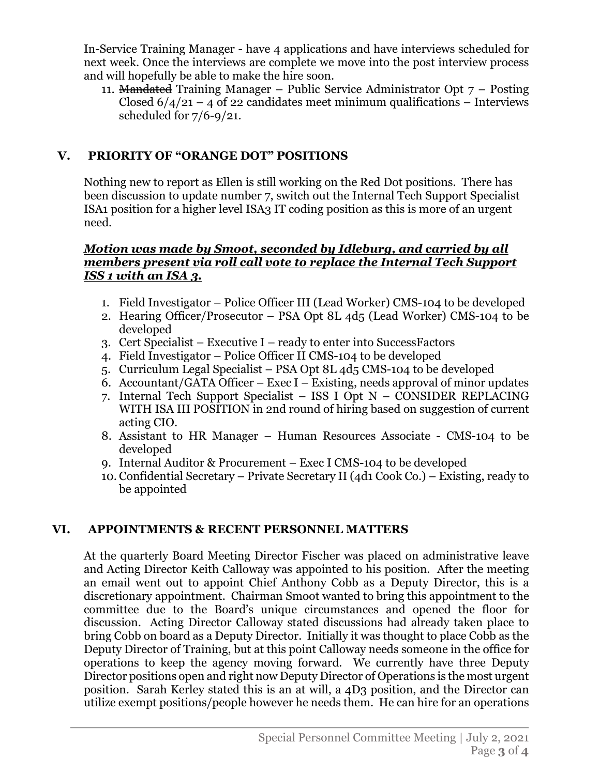In-Service Training Manager - have 4 applications and have interviews scheduled for next week. Once the interviews are complete we move into the post interview process and will hopefully be able to make the hire soon.

11. Mandated Training Manager – Public Service Administrator Opt  $7$  – Posting Closed  $6/4/21 - 4$  of 22 candidates meet minimum qualifications – Interviews scheduled for 7/6-9/21.

# **V. PRIORITY OF "ORANGE DOT" POSITIONS**

Nothing new to report as Ellen is still working on the Red Dot positions. There has been discussion to update number 7, switch out the Internal Tech Support Specialist ISA1 position for a higher level ISA3 IT coding position as this is more of an urgent need.

### *Motion was made by Smoot, seconded by Idleburg, and carried by all members present via roll call vote to replace the Internal Tech Support ISS 1 with an ISA 3.*

- 1. Field Investigator Police Officer III (Lead Worker) CMS-104 to be developed
- 2. Hearing Officer/Prosecutor PSA Opt 8L 4d5 (Lead Worker) CMS-104 to be developed
- 3. Cert Specialist Executive I ready to enter into SuccessFactors
- 4. Field Investigator Police Officer II CMS-104 to be developed
- 5. Curriculum Legal Specialist PSA Opt 8L 4d5 CMS-104 to be developed
- 6. Accountant/GATA Officer Exec I Existing, needs approval of minor updates
- 7. Internal Tech Support Specialist ISS I Opt N CONSIDER REPLACING WITH ISA III POSITION in 2nd round of hiring based on suggestion of current acting CIO.
- 8. Assistant to HR Manager Human Resources Associate CMS-104 to be developed
- 9. Internal Auditor & Procurement Exec I CMS-104 to be developed
- 10. Confidential Secretary Private Secretary II (4d1 Cook Co.) Existing, ready to be appointed

# **VI. APPOINTMENTS & RECENT PERSONNEL MATTERS**

At the quarterly Board Meeting Director Fischer was placed on administrative leave and Acting Director Keith Calloway was appointed to his position. After the meeting an email went out to appoint Chief Anthony Cobb as a Deputy Director, this is a discretionary appointment. Chairman Smoot wanted to bring this appointment to the committee due to the Board's unique circumstances and opened the floor for discussion. Acting Director Calloway stated discussions had already taken place to bring Cobb on board as a Deputy Director. Initially it was thought to place Cobb as the Deputy Director of Training, but at this point Calloway needs someone in the office for operations to keep the agency moving forward. We currently have three Deputy Director positions open and right now Deputy Director of Operations is the most urgent position. Sarah Kerley stated this is an at will, a 4D3 position, and the Director can utilize exempt positions/people however he needs them. He can hire for an operations